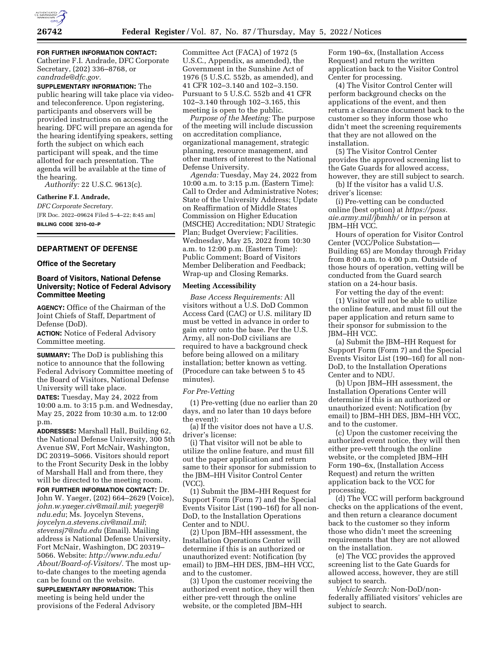

**FOR FURTHER INFORMATION CONTACT:** 

Catherine F.I. Andrade, DFC Corporate Secretary, (202) 336–8768, or *[candrade@dfc.gov.](mailto:candrade@dfc.gov)* 

**SUPPLEMENTARY INFORMATION:** The public hearing will take place via videoand teleconference. Upon registering, participants and observers will be provided instructions on accessing the hearing. DFC will prepare an agenda for the hearing identifying speakers, setting forth the subject on which each participant will speak, and the time allotted for each presentation. The agenda will be available at the time of the hearing.

*Authority:* 22 U.S.C. 9613(c).

**Catherine F.I. Andrade,**  *DFC Corporate Secretary.*  [FR Doc. 2022–09624 Filed 5–4–22; 8:45 am]

**BILLING CODE 3210–02–P** 

# **DEPARTMENT OF DEFENSE**

### **Office of the Secretary**

# **Board of Visitors, National Defense University; Notice of Federal Advisory Committee Meeting**

**AGENCY:** Office of the Chairman of the Joint Chiefs of Staff, Department of Defense (DoD).

**ACTION:** Notice of Federal Advisory Committee meeting.

**SUMMARY:** The DoD is publishing this notice to announce that the following Federal Advisory Committee meeting of the Board of Visitors, National Defense University will take place.

**DATES:** Tuesday, May 24, 2022 from 10:00 a.m. to 3:15 p.m. and Wednesday, May 25, 2022 from 10:30 a.m. to 12:00 p.m.

**ADDRESSES:** Marshall Hall, Building 62, the National Defense University, 300 5th Avenue SW, Fort McNair, Washington, DC 20319–5066. Visitors should report to the Front Security Desk in the lobby of Marshall Hall and from there, they will be directed to the meeting room.

**FOR FURTHER INFORMATION CONTACT:** Dr. John W. Yaeger, (202) 664–2629 (Voice), *[john.w.yaeger.civ@mail.mil](mailto:john.w.yaeger.civ@mail.mil)*; *[yaegerj@](mailto:yaegerj@ndu.edu) [ndu.edu](mailto:yaegerj@ndu.edu)*; Ms. Joycelyn Stevens, *[joycelyn.a.stevens.civ@mail.mil](mailto:joycelyn.a.stevens.civ@mail.mil)*; *[stevensj7@ndu.edu](mailto:stevensj7@ndu.edu)* (Email). Mailing address is National Defense University, Fort McNair, Washington, DC 20319– 5066. Website: *[http://www.ndu.edu/](http://www.ndu.edu/About/Board-of-Visitors/) [About/Board-of-Visitors/.](http://www.ndu.edu/About/Board-of-Visitors/)* The most upto-date changes to the meeting agenda can be found on the website.

**SUPPLEMENTARY INFORMATION:** This meeting is being held under the provisions of the Federal Advisory

Committee Act (FACA) of 1972 (5 U.S.C., Appendix, as amended), the Government in the Sunshine Act of 1976 (5 U.S.C. 552b, as amended), and 41 CFR 102–3.140 and 102–3.150. Pursuant to 5 U.S.C. 552b and 41 CFR 102–3.140 through 102–3.165, this meeting is open to the public.

*Purpose of the Meeting:* The purpose of the meeting will include discussion on accreditation compliance, organizational management, strategic planning, resource management, and other matters of interest to the National Defense University.

*Agenda:* Tuesday, May 24, 2022 from 10:00 a.m. to 3:15 p.m. (Eastern Time): Call to Order and Administrative Notes; State of the University Address; Update on Reaffirmation of Middle States Commission on Higher Education (MSCHE) Accreditation; NDU Strategic Plan; Budget Overview; Facilities. Wednesday, May 25, 2022 from 10:30 a.m. to 12:00 p.m. (Eastern Time): Public Comment; Board of Visitors Member Deliberation and Feedback; Wrap-up and Closing Remarks.

#### **Meeting Accessibility**

*Base Access Requirements:* All visitors without a U.S. DoD Common Access Card (CAC) or U.S. military ID must be vetted in advance in order to gain entry onto the base. Per the U.S. Army, all non-DoD civilians are required to have a background check before being allowed on a military installation; better known as vetting. (Procedure can take between 5 to 45 minutes).

## *For Pre-Vetting*

(1) Pre-vetting (due no earlier than 20 days, and no later than 10 days before the event):

(a) If the visitor does not have a U.S. driver's license:

(i) That visitor will not be able to utilize the online feature, and must fill out the paper application and return same to their sponsor for submission to the JBM–HH Visitor Control Center (VCC).

(1) Submit the JBM–HH Request for Support Form (Form 7) and the Special Events Visitor List (190–16f) for all non-DoD, to the Installation Operations Center and to NDU.

(2) Upon JBM–HH assessment, the Installation Operations Center will determine if this is an authorized or unauthorized event: Notification (by email) to JBM-HH DES, JBM-HH VCC, and to the customer.

(3) Upon the customer receiving the authorized event notice, they will then either pre-vett through the online website, or the completed JBM–HH

Form 190–6x, (Installation Access Request) and return the written application back to the Visitor Control Center for processing.

(4) The Visitor Control Center will perform background checks on the applications of the event, and then return a clearance document back to the customer so they inform those who didn't meet the screening requirements that they are not allowed on the installation.

(5) The Visitor Control Center provides the approved screening list to the Gate Guards for allowed access, however, they are still subject to search.

(b) If the visitor has a valid U.S. driver's license:

(i) Pre-vetting can be conducted online (best option) at *[https://pass.](https://pass.aie.army.mil/jbmhh/) [aie.army.mil/jbmhh/](https://pass.aie.army.mil/jbmhh/)* or in person at JBM–HH VCC.

Hours of operation for Visitor Control Center (VCC/Police Substation— Building 65) are Monday through Friday from 8:00 a.m. to 4:00 p.m. Outside of those hours of operation, vetting will be conducted from the Guard search station on a 24-hour basis.

For vetting the day of the event:

(1) Visitor will not be able to utilize the online feature, and must fill out the paper application and return same to their sponsor for submission to the JBM–HH VCC.

(a) Submit the JBM–HH Request for Support Form (Form 7) and the Special Events Visitor List (190–16f) for all non-DoD, to the Installation Operations Center and to NDU.

(b) Upon JBM–HH assessment, the Installation Operations Center will determine if this is an authorized or unauthorized event: Notification (by email) to JBM–HH DES, JBM–HH VCC, and to the customer.

(c) Upon the customer receiving the authorized event notice, they will then either pre-vett through the online website, or the completed JBM–HH Form 190–6x, (Installation Access Request) and return the written application back to the VCC for processing.

(d) The VCC will perform background checks on the applications of the event, and then return a clearance document back to the customer so they inform those who didn't meet the screening requirements that they are not allowed on the installation.

(e) The VCC provides the approved screening list to the Gate Guards for allowed access, however, they are still subject to search.

*Vehicle Search:* Non-DoD/nonfederally affiliated visitors' vehicles are subject to search.